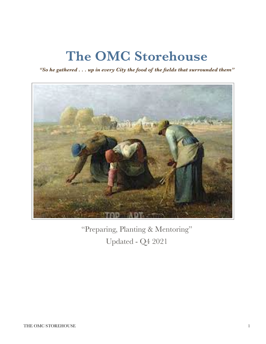## **The OMC Storehouse**

*"So he gathered . . . up in every City the food of the fields that surrounded them"*



"Preparing, Planting & Mentoring" Updated - Q4 2021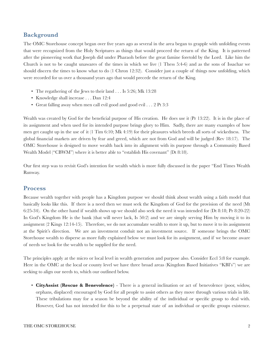## **Background**

The OMC Storehouse concept began over five years ago as several in the area began to grapple with unfolding events that were recognized from the Holy Scriptures as things that would proceed the return of the King. It is patterned after the pioneering work that Joseph did under Pharaoh before the great famine foretold by the Lord. Like him the Church is not to be caught unawares of the times in which we live (1 Thess 5:4-6) and as the sons of Issachar we should discern the times to know what to do (1 Chron 12:32). Consider just a couple of things now unfolding, which were recorded for us over a thousand years ago that would precede the return of the King.

- The regathering of the Jews to their land . . . Is 5:26; Mk 13:28
- Knowledge shall increase . . . Dan 12:4
- Great falling away when men call evil good and good evil . . . 2 Pt 3:3

Wealth was created by God for the beneficial purpose of His creation. He does use it (Pr 13:22). It is in the place of its assignment and when used for its intended purpose brings glory to Him. Sadly, there are many examples of how men get caught up in the use of it (1 Tim 6:10; Mk 4:19) for their pleasures which breeds all sorts of wickedness. The global financial markets are driven by fear and greed, which are not from God and will be judged (Rev 18:17). The OMC Storehouse is designed to move wealth back into its alignment with its purpose through a Community Based Wealth Model ("CBWM") where it is better able to "establish His covenant" (Dt 8:18).

Our first step was to revisit God's intention for wealth which is more fully discussed in the paper "End Times Wealth Runway.

## **Process**

Because wealth together with people has a Kingdom purpose we should think about wealth using a faith model that basically looks like this. If there is a need then we must seek the Kingdom of God for the provision of the need (Mt 6:25-34). On the other hand if wealth shows up we should also seek the need it was intended for (Dt 8:18; Pr 8:20-22) In God's Kingdom He is the bank (that will never lack, Is 50:2) and we are simply serving Him by moving it to its assignment (2 Kings 12:14-15). Therefore, we do not accumulate wealth to store it up, but to move it to its assignment at the Spirit's direction. We are an investment conduit not an investment source. If someone brings the OMC Storehouse wealth to disperse as more fully explained below we must look for its assignment, and if we become aware of needs we look for the wealth to be supplied for the need.

The principles apply at the micro or local level in wealth generation and purpose also. Consider Eccl 5:8 for example. Here in the OMC at the local or county level we have three broad areas (Kingdom Based Initiatives "KBI's") we are seeking to align our needs to, which our outlined below.

• **CityAssist (Rescue & Benevolence)** - There is a general inclination or act of benevolence (poor, widow, orphans, displaced) encouraged by God for all people to assist others as they move through various trials in life. These tribulations may for a season be beyond the ability of the individual or specific group to deal with. However, God has not intended for this to be a perpetual state of an individual or specific groups existence.